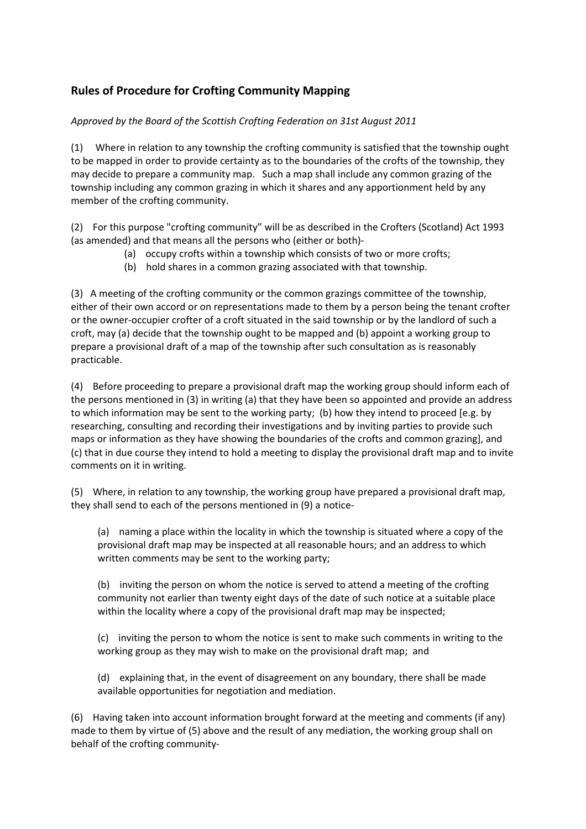## **Rules of Procedure for Crofting Community Mapping**

## *Approved by the Board of the Scottish Crofting Federation on 31st August 2011*

(1) Where in relation to any township the crofting community is satisfied that the township ought to be mapped in order to provide certainty as to the boundaries of the crofts of the township, they may decide to prepare a community map. Such a map shall include any common grazing of the township including any common grazing in which it shares and any apportionment held by any member of the crofting community.

(2) For this purpose "crofting community" will be as described in the Crofters (Scotland) Act 1993 (as amended) and that means all the persons who (either or both)-

- (a) occupy crofts within a township which consists of two or more crofts;
- (b) hold shares in a common grazing associated with that township.

(3) A meeting of the crofting community or the common grazings committee of the township, either of their own accord or on representations made to them by a person being the tenant crofter or the owner-occupier crofter of a croft situated in the said township or by the landlord of such a croft, may (a) decide that the township ought to be mapped and (b) appoint a working group to prepare a provisional draft of a map of the township after such consultation as is reasonably practicable.

(4) Before proceeding to prepare a provisional draft map the working group should inform each of the persons mentioned in (3) in writing (a) that they have been so appointed and provide an address to which information may be sent to the working party; (b) how they intend to proceed [e.g. by researching, consulting and recording their investigations and by inviting parties to provide such maps or information as they have showing the boundaries of the crofts and common grazing], and (c) that in due course they intend to hold a meeting to display the provisional draft map and to invite comments on it in writing.

(5) Where, in relation to any township, the working group have prepared a provisional draft map, they shall send to each of the persons mentioned in (9) a [notice-](file:///F:%5CDerek)

(a) naming a place within the locality in which the township is situated where a copy of the provisional draft map may be inspected at all reasonable hours; and an address to which written comments may be sent to the working party;

(b) inviting the person on whom the notice is served to attend a meeting of the crofting community not earlier than twenty eight days of the date of such notice at a suitable place within the locality where a copy of the provisional draft map may be inspected;

(c) inviting the person to whom the notice is sent to make such comments in writing to the working group as they may wish to make on the provisional draft map; and

(d) explaining that, in the event of disagreement on any boundary, there shall be made available opportunities for negotiation and mediation.

(6) Having taken into account information brought forward at the meeting and comments (if any) made to them by virtue of (5) above and the result of any mediation, the working group shall on behalf of the crofting community